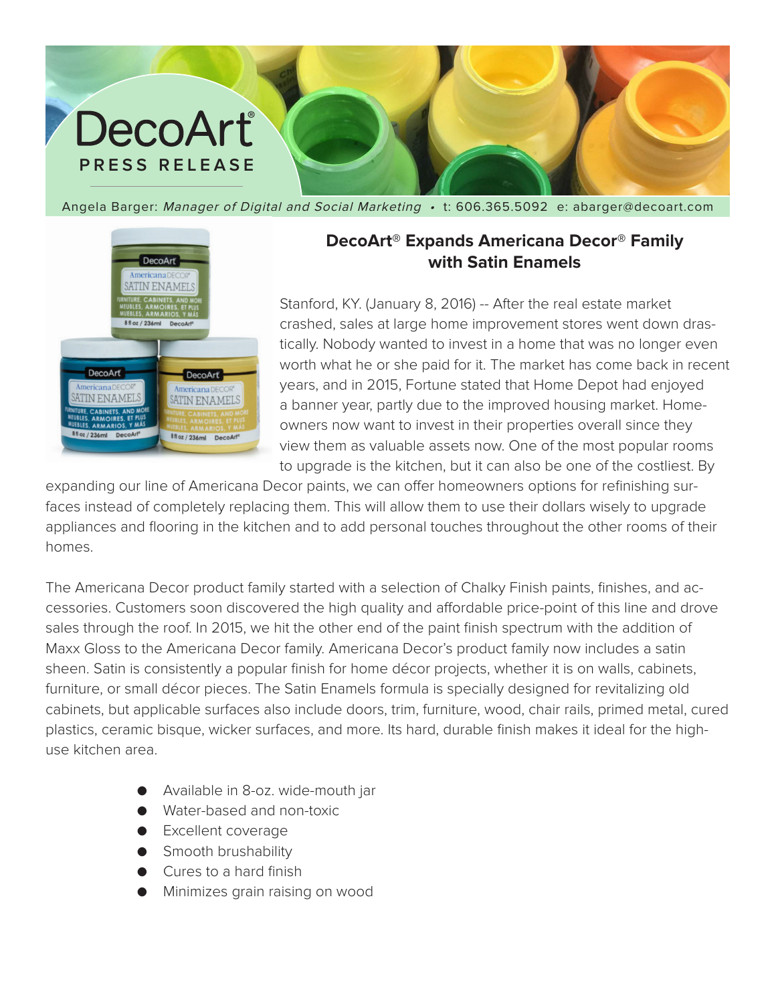## DecoArt® **PRESS RELEASE**

Angela Barger: Manager of Digital and Social Marketing . t: 606.365.5092 e: abarger@decoart.com



## **DecoArt® Expands Americana Decor® Family with Satin Enamels**

Stanford, KY. (January 8, 2016) -- After the real estate market crashed, sales at large home improvement stores went down drastically. Nobody wanted to invest in a home that was no longer even worth what he or she paid for it. The market has come back in recent years, and in 2015, Fortune stated that Home Depot had enjoyed a banner year, partly due to the improved housing market. Homeowners now want to invest in their properties overall since they view them as valuable assets now. One of the most popular rooms to upgrade is the kitchen, but it can also be one of the costliest. By

expanding our line of Americana Decor paints, we can offer homeowners options for refinishing surfaces instead of completely replacing them. This will allow them to use their dollars wisely to upgrade appliances and flooring in the kitchen and to add personal touches throughout the other rooms of their homes.

The Americana Decor product family started with a selection of Chalky Finish paints, finishes, and accessories. Customers soon discovered the high quality and affordable price-point of this line and drove sales through the roof. In 2015, we hit the other end of the paint finish spectrum with the addition of Maxx Gloss to the Americana Decor family. Americana Decor's product family now includes a satin sheen. Satin is consistently a popular finish for home décor projects, whether it is on walls, cabinets, furniture, or small décor pieces. The Satin Enamels formula is specially designed for revitalizing old cabinets, but applicable surfaces also include doors, trim, furniture, wood, chair rails, primed metal, cured plastics, ceramic bisque, wicker surfaces, and more. Its hard, durable finish makes it ideal for the highuse kitchen area.

- Available in 8-oz. wide-mouth jar
- Water-based and non-toxic
- Excellent coverage
- **•** Smooth brushability
- Cures to a hard finish
- Minimizes grain raising on wood